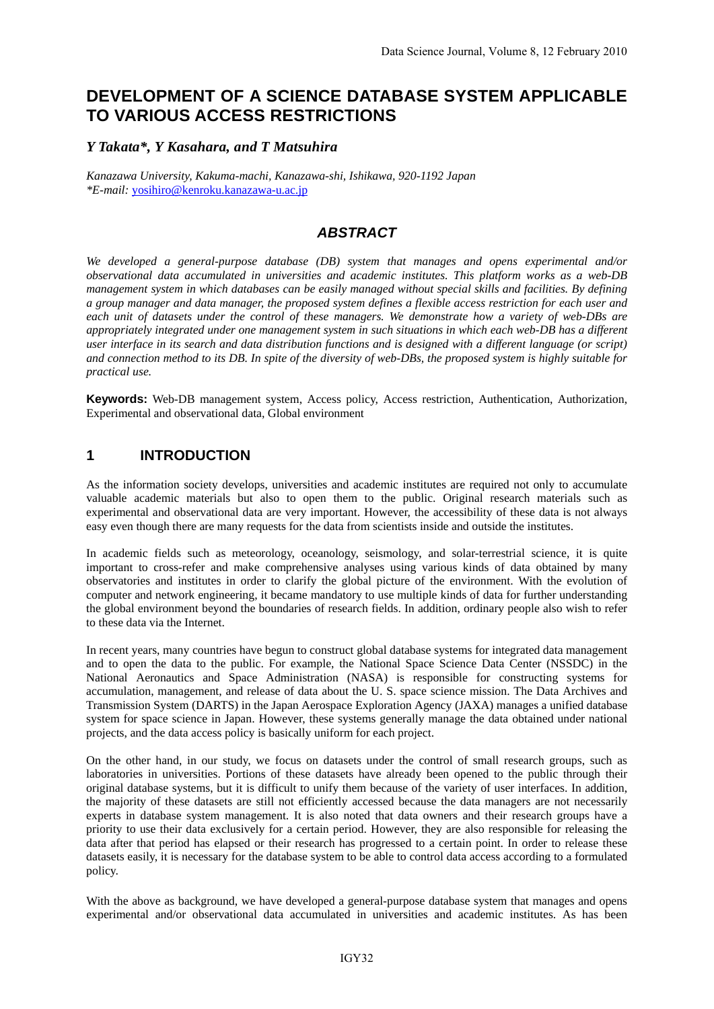# **DEVELOPMENT OF A SCIENCE DATABASE SYSTEM APPLICABLE TO VARIOUS ACCESS RESTRICTIONS**

#### *Y Takata\*, Y Kasahara, and T Matsuhira*

*Kanazawa University, Kakuma-machi, Kanazawa-shi, Ishikawa, 920-1192 Japan \*E-mail:* yosihiro@kenroku.kanazawa-u.ac.jp

### *ABSTRACT*

*We developed a general-purpose database (DB) system that manages and opens experimental and/or observational data accumulated in universities and academic institutes. This platform works as a web-DB management system in which databases can be easily managed without special skills and facilities. By defining a group manager and data manager, the proposed system defines a flexible access restriction for each user and each unit of datasets under the control of these managers. We demonstrate how a variety of web-DBs are appropriately integrated under one management system in such situations in which each web-DB has a different user interface in its search and data distribution functions and is designed with a different language (or script) and connection method to its DB. In spite of the diversity of web-DBs, the proposed system is highly suitable for practical use.* 

**Keywords:** Web-DB management system, Access policy, Access restriction, Authentication, Authorization, Experimental and observational data, Global environment

#### **1 INTRODUCTION**

As the information society develops, universities and academic institutes are required not only to accumulate valuable academic materials but also to open them to the public. Original research materials such as experimental and observational data are very important. However, the accessibility of these data is not always easy even though there are many requests for the data from scientists inside and outside the institutes.

In academic fields such as meteorology, oceanology, seismology, and solar-terrestrial science, it is quite important to cross-refer and make comprehensive analyses using various kinds of data obtained by many observatories and institutes in order to clarify the global picture of the environment. With the evolution of computer and network engineering, it became mandatory to use multiple kinds of data for further understanding the global environment beyond the boundaries of research fields. In addition, ordinary people also wish to refer to these data via the Internet.

In recent years, many countries have begun to construct global database systems for integrated data management and to open the data to the public. For example, the National Space Science Data Center (NSSDC) in the National Aeronautics and Space Administration (NASA) is responsible for constructing systems for accumulation, management, and release of data about the U. S. space science mission. The Data Archives and Transmission System (DARTS) in the Japan Aerospace Exploration Agency (JAXA) manages a unified database system for space science in Japan. However, these systems generally manage the data obtained under national projects, and the data access policy is basically uniform for each project.

On the other hand, in our study, we focus on datasets under the control of small research groups, such as laboratories in universities. Portions of these datasets have already been opened to the public through their original database systems, but it is difficult to unify them because of the variety of user interfaces. In addition, the majority of these datasets are still not efficiently accessed because the data managers are not necessarily experts in database system management. It is also noted that data owners and their research groups have a priority to use their data exclusively for a certain period. However, they are also responsible for releasing the data after that period has elapsed or their research has progressed to a certain point. In order to release these datasets easily, it is necessary for the database system to be able to control data access according to a formulated policy.

With the above as background, we have developed a general-purpose database system that manages and opens experimental and/or observational data accumulated in universities and academic institutes. As has been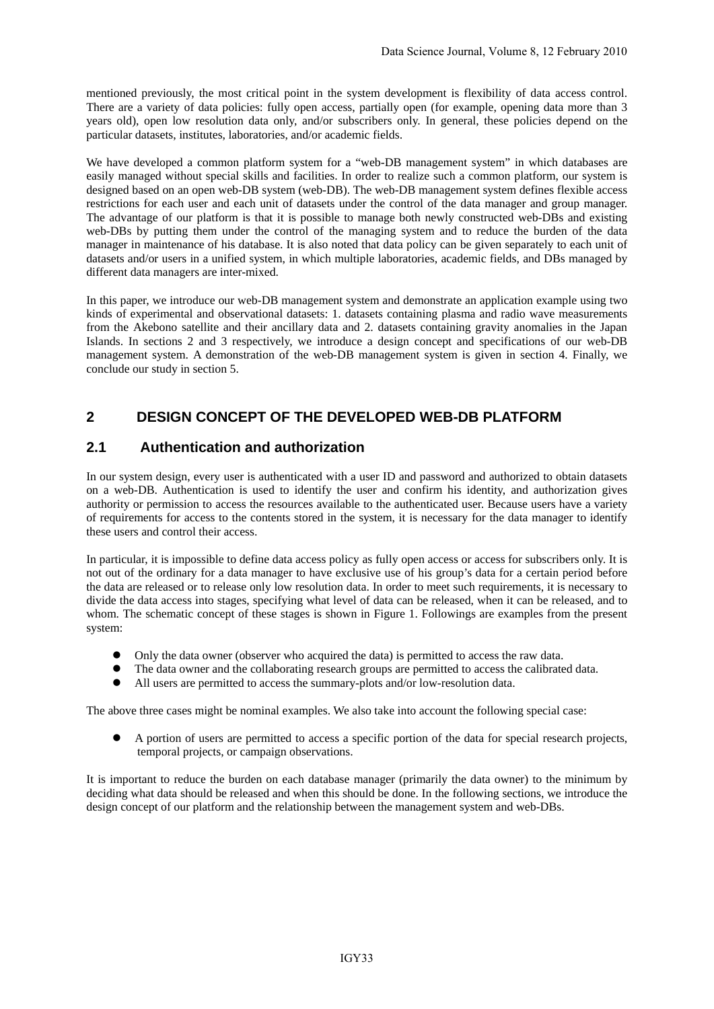mentioned previously, the most critical point in the system development is flexibility of data access control. There are a variety of data policies: fully open access, partially open (for example, opening data more than 3 years old), open low resolution data only, and/or subscribers only. In general, these policies depend on the particular datasets, institutes, laboratories, and/or academic fields.

We have developed a common platform system for a "web-DB management system" in which databases are easily managed without special skills and facilities. In order to realize such a common platform, our system is designed based on an open web-DB system (web-DB). The web-DB management system defines flexible access restrictions for each user and each unit of datasets under the control of the data manager and group manager. The advantage of our platform is that it is possible to manage both newly constructed web-DBs and existing web-DBs by putting them under the control of the managing system and to reduce the burden of the data manager in maintenance of his database. It is also noted that data policy can be given separately to each unit of datasets and/or users in a unified system, in which multiple laboratories, academic fields, and DBs managed by different data managers are inter-mixed.

In this paper, we introduce our web-DB management system and demonstrate an application example using two kinds of experimental and observational datasets: 1. datasets containing plasma and radio wave measurements from the Akebono satellite and their ancillary data and 2. datasets containing gravity anomalies in the Japan Islands. In sections 2 and 3 respectively, we introduce a design concept and specifications of our web-DB management system. A demonstration of the web-DB management system is given in section 4. Finally, we conclude our study in section 5.

## **2 DESIGN CONCEPT OF THE DEVELOPED WEB-DB PLATFORM**

### **2.1 Authentication and authorization**

In our system design, every user is authenticated with a user ID and password and authorized to obtain datasets on a web-DB. Authentication is used to identify the user and confirm his identity, and authorization gives authority or permission to access the resources available to the authenticated user. Because users have a variety of requirements for access to the contents stored in the system, it is necessary for the data manager to identify these users and control their access.

In particular, it is impossible to define data access policy as fully open access or access for subscribers only. It is not out of the ordinary for a data manager to have exclusive use of his group's data for a certain period before the data are released or to release only low resolution data. In order to meet such requirements, it is necessary to divide the data access into stages, specifying what level of data can be released, when it can be released, and to whom. The schematic concept of these stages is shown in Figure 1. Followings are examples from the present system:

- Only the data owner (observer who acquired the data) is permitted to access the raw data.
- The data owner and the collaborating research groups are permitted to access the calibrated data.
- All users are permitted to access the summary-plots and/or low-resolution data.

The above three cases might be nominal examples. We also take into account the following special case:

A portion of users are permitted to access a specific portion of the data for special research projects, temporal projects, or campaign observations.

It is important to reduce the burden on each database manager (primarily the data owner) to the minimum by deciding what data should be released and when this should be done. In the following sections, we introduce the design concept of our platform and the relationship between the management system and web-DBs.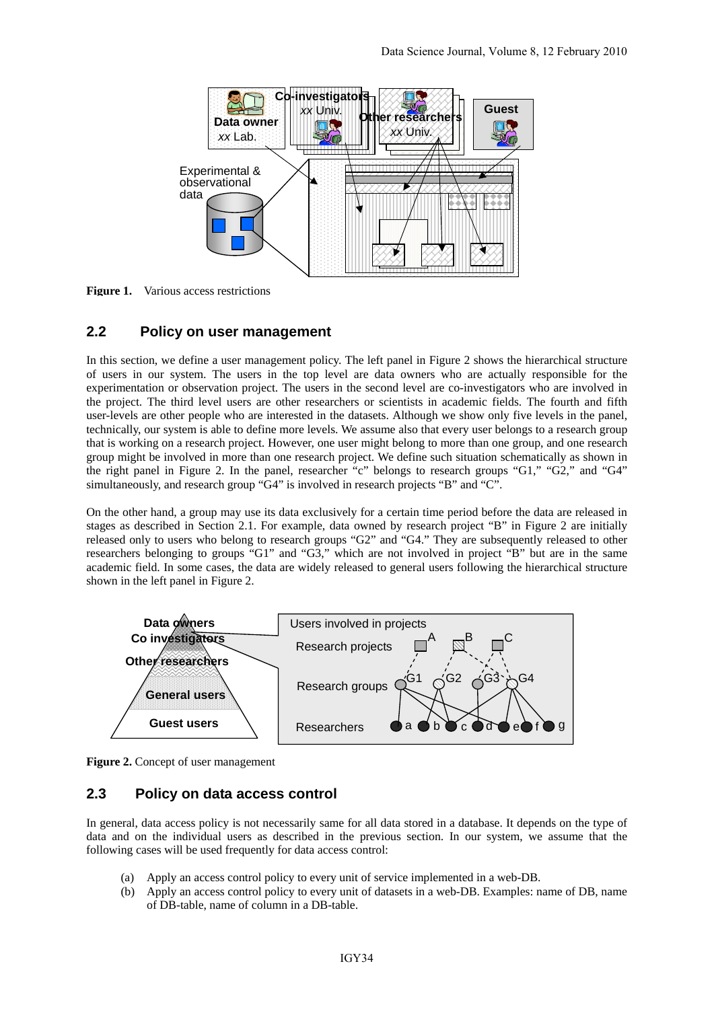

Figure 1. Various access restrictions

#### **2.2 Policy on user management**

In this section, we define a user management policy. The left panel in Figure 2 shows the hierarchical structure of users in our system. The users in the top level are data owners who are actually responsible for the experimentation or observation project. The users in the second level are co-investigators who are involved in the project. The third level users are other researchers or scientists in academic fields. The fourth and fifth user-levels are other people who are interested in the datasets. Although we show only five levels in the panel, technically, our system is able to define more levels. We assume also that every user belongs to a research group that is working on a research project. However, one user might belong to more than one group, and one research group might be involved in more than one research project. We define such situation schematically as shown in the right panel in Figure 2. In the panel, researcher "c" belongs to research groups "G1," "G2," and "G4" simultaneously, and research group "G4" is involved in research projects "B" and "C".

On the other hand, a group may use its data exclusively for a certain time period before the data are released in stages as described in Section 2.1. For example, data owned by research project "B" in Figure 2 are initially released only to users who belong to research groups "G2" and "G4." They are subsequently released to other researchers belonging to groups "G1" and "G3," which are not involved in project "B" but are in the same academic field. In some cases, the data are widely released to general users following the hierarchical structure shown in the left panel in Figure 2.



**Figure 2.** Concept of user management

#### **2.3 Policy on data access control**

In general, data access policy is not necessarily same for all data stored in a database. It depends on the type of data and on the individual users as described in the previous section. In our system, we assume that the following cases will be used frequently for data access control:

- (a) Apply an access control policy to every unit of service implemented in a web-DB.
- (b) Apply an access control policy to every unit of datasets in a web-DB. Examples: name of DB, name of DB-table, name of column in a DB-table.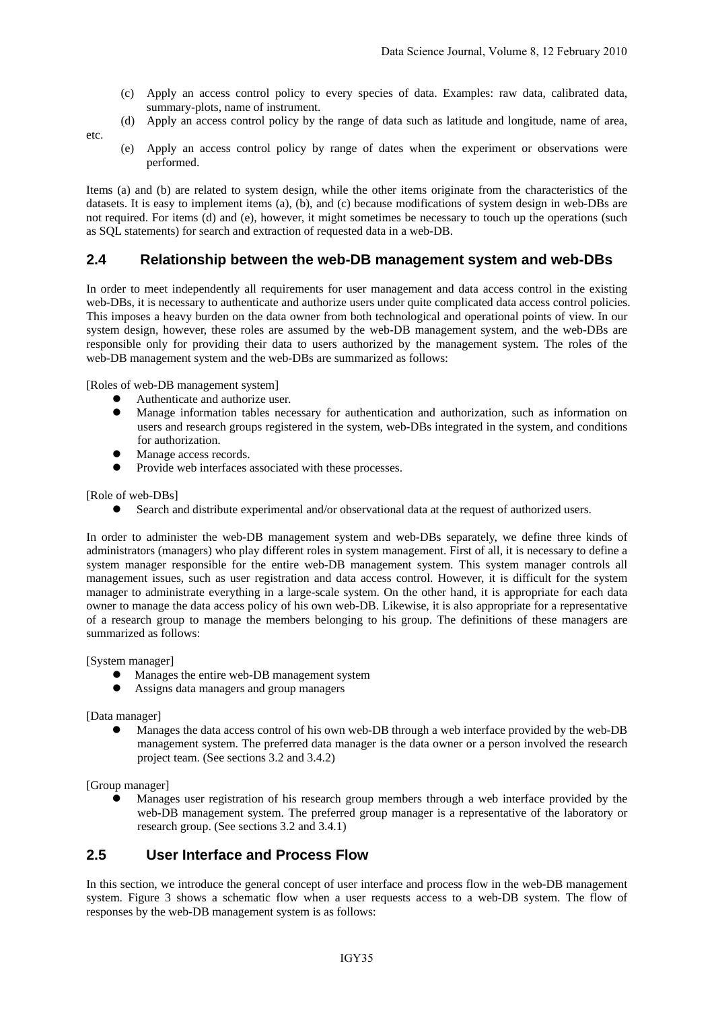- (c) Apply an access control policy to every species of data. Examples: raw data, calibrated data, summary-plots, name of instrument.
- (d) Apply an access control policy by the range of data such as latitude and longitude, name of area,

etc.

 (e) Apply an access control policy by range of dates when the experiment or observations were performed.

Items (a) and (b) are related to system design, while the other items originate from the characteristics of the datasets. It is easy to implement items (a), (b), and (c) because modifications of system design in web-DBs are not required. For items (d) and (e), however, it might sometimes be necessary to touch up the operations (such as SQL statements) for search and extraction of requested data in a web-DB.

#### **2.4 Relationship between the web-DB management system and web-DBs**

In order to meet independently all requirements for user management and data access control in the existing web-DBs, it is necessary to authenticate and authorize users under quite complicated data access control policies. This imposes a heavy burden on the data owner from both technological and operational points of view. In our system design, however, these roles are assumed by the web-DB management system, and the web-DBs are responsible only for providing their data to users authorized by the management system. The roles of the web-DB management system and the web-DBs are summarized as follows:

[Roles of web-DB management system]

- Authenticate and authorize user.
- Manage information tables necessary for authentication and authorization, such as information on users and research groups registered in the system, web-DBs integrated in the system, and conditions for authorization.
- Manage access records.
- Provide web interfaces associated with these processes.

[Role of web-DBs]

Search and distribute experimental and/or observational data at the request of authorized users.

In order to administer the web-DB management system and web-DBs separately, we define three kinds of administrators (managers) who play different roles in system management. First of all, it is necessary to define a system manager responsible for the entire web-DB management system. This system manager controls all management issues, such as user registration and data access control. However, it is difficult for the system manager to administrate everything in a large-scale system. On the other hand, it is appropriate for each data owner to manage the data access policy of his own web-DB. Likewise, it is also appropriate for a representative of a research group to manage the members belonging to his group. The definitions of these managers are summarized as follows:

[System manager]

- Manages the entire web-DB management system
- Assigns data managers and group managers

[Data manager]

Manages the data access control of his own web-DB through a web interface provided by the web-DB management system. The preferred data manager is the data owner or a person involved the research project team. (See sections 3.2 and 3.4.2)

[Group manager]

Manages user registration of his research group members through a web interface provided by the web-DB management system. The preferred group manager is a representative of the laboratory or research group. (See sections 3.2 and 3.4.1)

#### **2.5 User Interface and Process Flow**

In this section, we introduce the general concept of user interface and process flow in the web-DB management system. Figure 3 shows a schematic flow when a user requests access to a web-DB system. The flow of responses by the web-DB management system is as follows: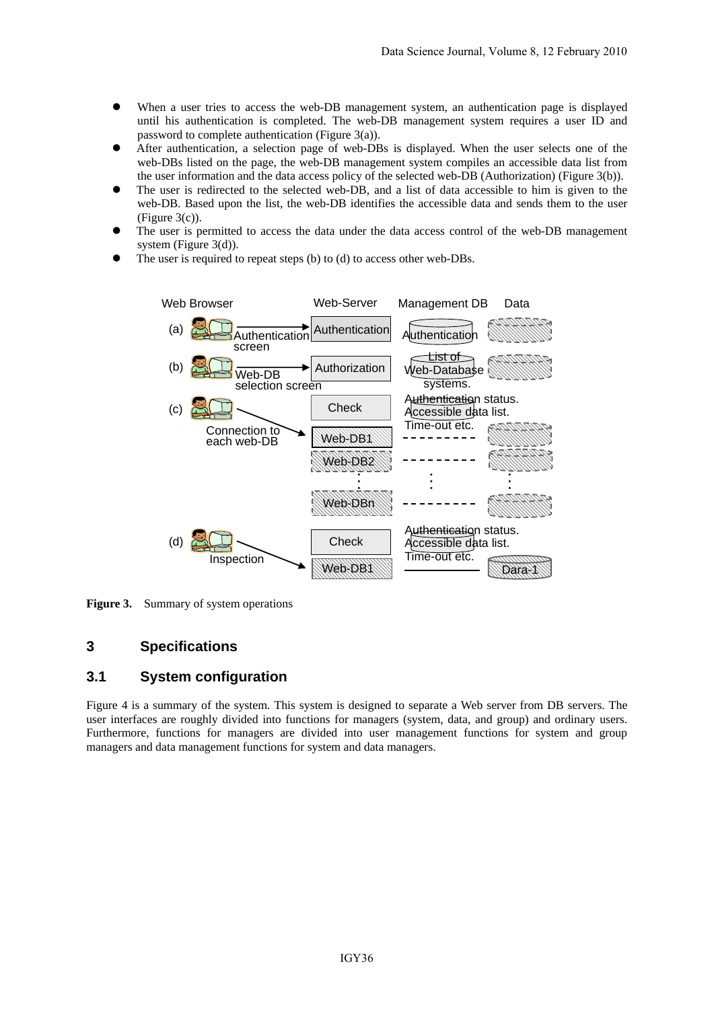- When a user tries to access the web-DB management system, an authentication page is displayed until his authentication is completed. The web-DB management system requires a user ID and password to complete authentication (Figure 3(a)).
- After authentication, a selection page of web-DBs is displayed. When the user selects one of the web-DBs listed on the page, the web-DB management system compiles an accessible data list from the user information and the data access policy of the selected web-DB (Authorization) (Figure 3(b)).
- The user is redirected to the selected web-DB, and a list of data accessible to him is given to the web-DB. Based upon the list, the web-DB identifies the accessible data and sends them to the user (Figure 3(c)).
- The user is permitted to access the data under the data access control of the web-DB management system (Figure 3(d)).
- The user is required to repeat steps (b) to (d) to access other web-DBs.



**Figure 3.** Summary of system operations

#### **3 Specifications**

#### **3.1 System configuration**

Figure 4 is a summary of the system. This system is designed to separate a Web server from DB servers. The user interfaces are roughly divided into functions for managers (system, data, and group) and ordinary users. Furthermore, functions for managers are divided into user management functions for system and group managers and data management functions for system and data managers.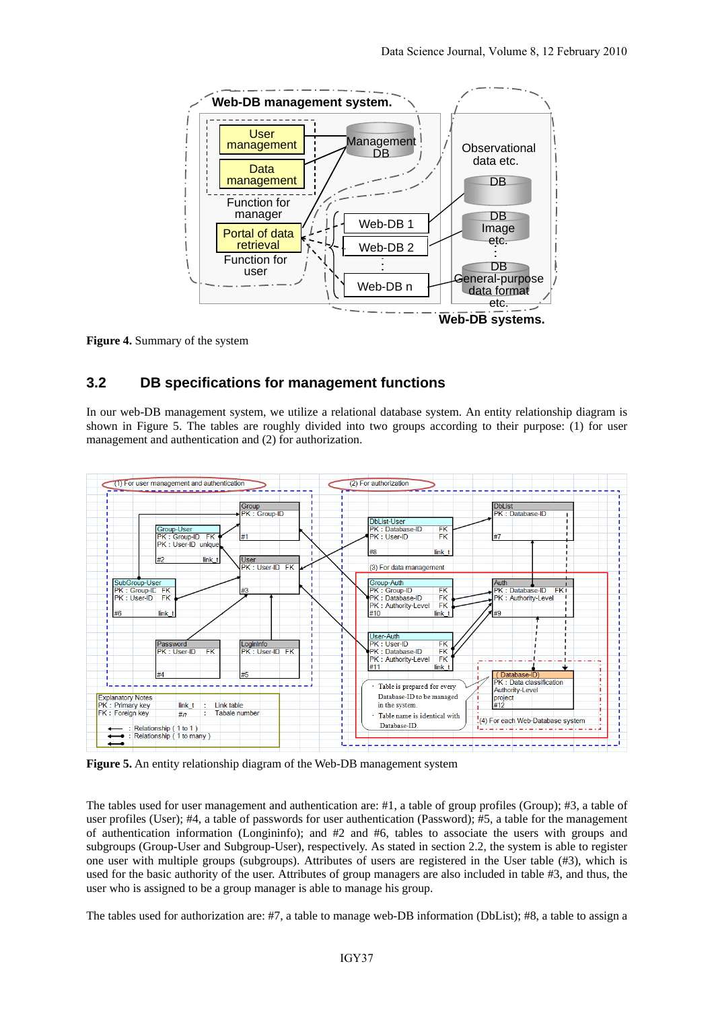

**Figure 4.** Summary of the system

## **3.2 DB specifications for management functions**

In our web-DB management system, we utilize a relational database system. An entity relationship diagram is shown in Figure 5. The tables are roughly divided into two groups according to their purpose: (1) for user management and authentication and (2) for authorization.



**Figure 5.** An entity relationship diagram of the Web-DB management system

The tables used for user management and authentication are: #1, a table of group profiles (Group); #3, a table of user profiles (User); #4, a table of passwords for user authentication (Password); #5, a table for the management of authentication information (Longininfo); and #2 and #6, tables to associate the users with groups and subgroups (Group-User and Subgroup-User), respectively. As stated in section 2.2, the system is able to register one user with multiple groups (subgroups). Attributes of users are registered in the User table (#3), which is used for the basic authority of the user. Attributes of group managers are also included in table #3, and thus, the user who is assigned to be a group manager is able to manage his group.

The tables used for authorization are: #7, a table to manage web-DB information (DbList); #8, a table to assign a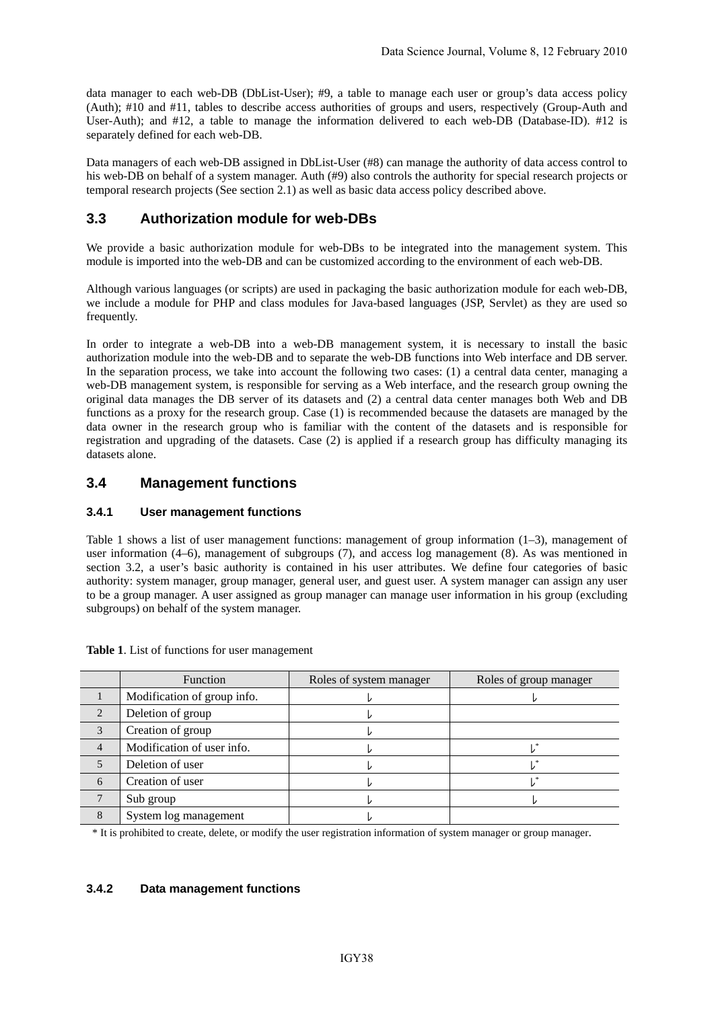data manager to each web-DB (DbList-User); #9, a table to manage each user or group's data access policy (Auth); #10 and #11, tables to describe access authorities of groups and users, respectively (Group-Auth and User-Auth); and #12, a table to manage the information delivered to each web-DB (Database-ID). #12 is separately defined for each web-DB.

Data managers of each web-DB assigned in DbList-User (#8) can manage the authority of data access control to his web-DB on behalf of a system manager. Auth (#9) also controls the authority for special research projects or temporal research projects (See section 2.1) as well as basic data access policy described above.

## **3.3 Authorization module for web-DBs**

We provide a basic authorization module for web-DBs to be integrated into the management system. This module is imported into the web-DB and can be customized according to the environment of each web-DB.

Although various languages (or scripts) are used in packaging the basic authorization module for each web-DB, we include a module for PHP and class modules for Java-based languages (JSP, Servlet) as they are used so frequently.

In order to integrate a web-DB into a web-DB management system, it is necessary to install the basic authorization module into the web-DB and to separate the web-DB functions into Web interface and DB server. In the separation process, we take into account the following two cases: (1) a central data center, managing a web-DB management system, is responsible for serving as a Web interface, and the research group owning the original data manages the DB server of its datasets and (2) a central data center manages both Web and DB functions as a proxy for the research group. Case (1) is recommended because the datasets are managed by the data owner in the research group who is familiar with the content of the datasets and is responsible for registration and upgrading of the datasets. Case (2) is applied if a research group has difficulty managing its datasets alone.

### **3.4 Management functions**

#### **3.4.1 User management functions**

Table 1 shows a list of user management functions: management of group information (1–3), management of user information (4–6), management of subgroups (7), and access log management (8). As was mentioned in section 3.2, a user's basic authority is contained in his user attributes. We define four categories of basic authority: system manager, group manager, general user, and guest user. A system manager can assign any user to be a group manager. A user assigned as group manager can manage user information in his group (excluding subgroups) on behalf of the system manager.

|                        | Function                    | Roles of system manager | Roles of group manager |
|------------------------|-----------------------------|-------------------------|------------------------|
|                        | Modification of group info. |                         |                        |
| $\mathcal{D}_{\alpha}$ | Deletion of group           |                         |                        |
| $\mathcal{R}$          | Creation of group           |                         |                        |
| $\overline{4}$         | Modification of user info.  |                         |                        |
|                        | Deletion of user            |                         |                        |
| 6                      | Creation of user            |                         |                        |
|                        | Sub group                   |                         |                        |
|                        | System log management       |                         |                        |

#### **Table 1**. List of functions for user management

\* It is prohibited to create, delete, or modify the user registration information of system manager or group manager.

#### **3.4.2 Data management functions**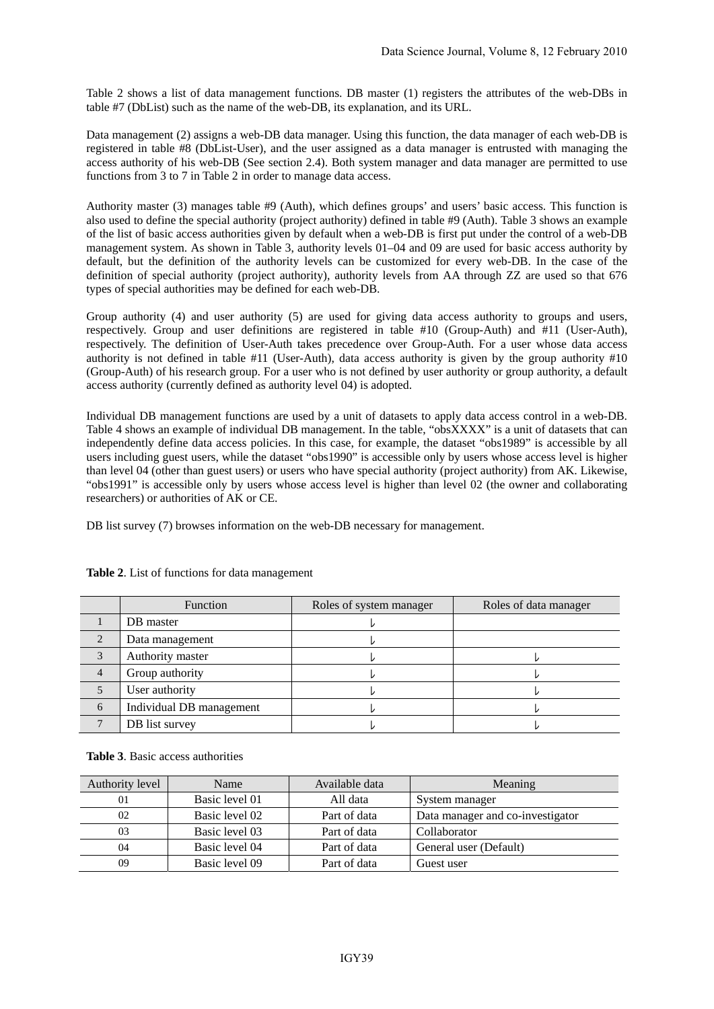Table 2 shows a list of data management functions. DB master (1) registers the attributes of the web-DBs in table #7 (DbList) such as the name of the web-DB, its explanation, and its URL.

Data management (2) assigns a web-DB data manager. Using this function, the data manager of each web-DB is registered in table #8 (DbList-User), and the user assigned as a data manager is entrusted with managing the access authority of his web-DB (See section 2.4). Both system manager and data manager are permitted to use functions from 3 to 7 in Table 2 in order to manage data access.

Authority master (3) manages table #9 (Auth), which defines groups' and users' basic access. This function is also used to define the special authority (project authority) defined in table #9 (Auth). Table 3 shows an example of the list of basic access authorities given by default when a web-DB is first put under the control of a web-DB management system. As shown in Table 3, authority levels 01–04 and 09 are used for basic access authority by default, but the definition of the authority levels can be customized for every web-DB. In the case of the definition of special authority (project authority), authority levels from AA through ZZ are used so that 676 types of special authorities may be defined for each web-DB.

Group authority (4) and user authority (5) are used for giving data access authority to groups and users, respectively. Group and user definitions are registered in table #10 (Group-Auth) and #11 (User-Auth), respectively. The definition of User-Auth takes precedence over Group-Auth. For a user whose data access authority is not defined in table #11 (User-Auth), data access authority is given by the group authority #10 (Group-Auth) of his research group. For a user who is not defined by user authority or group authority, a default access authority (currently defined as authority level 04) is adopted.

Individual DB management functions are used by a unit of datasets to apply data access control in a web-DB. Table 4 shows an example of individual DB management. In the table, "obsXXXX" is a unit of datasets that can independently define data access policies. In this case, for example, the dataset "obs1989" is accessible by all users including guest users, while the dataset "obs1990" is accessible only by users whose access level is higher than level 04 (other than guest users) or users who have special authority (project authority) from AK. Likewise, "obs1991" is accessible only by users whose access level is higher than level 02 (the owner and collaborating researchers) or authorities of AK or CE.

DB list survey (7) browses information on the web-DB necessary for management.

|                        | Function                 | Roles of system manager | Roles of data manager |  |
|------------------------|--------------------------|-------------------------|-----------------------|--|
|                        | DB master                |                         |                       |  |
| $\mathcal{D}_{\alpha}$ | Data management          |                         |                       |  |
| 3                      | Authority master         |                         |                       |  |
| $\overline{4}$         | Group authority          |                         |                       |  |
|                        | User authority           |                         |                       |  |
| 6                      | Individual DB management |                         |                       |  |
|                        | DB list survey           |                         |                       |  |

**Table 2**. List of functions for data management

**Table 3**. Basic access authorities

| Authority level | Name           | Available data | Meaning                          |
|-----------------|----------------|----------------|----------------------------------|
| 01              | Basic level 01 | All data       | System manager                   |
| 02              | Basic level 02 | Part of data   | Data manager and co-investigator |
| 03              | Basic level 03 | Part of data   | Collaborator                     |
| 04              | Basic level 04 | Part of data   | General user (Default)           |
| 09              | Basic level 09 | Part of data   | Guest user                       |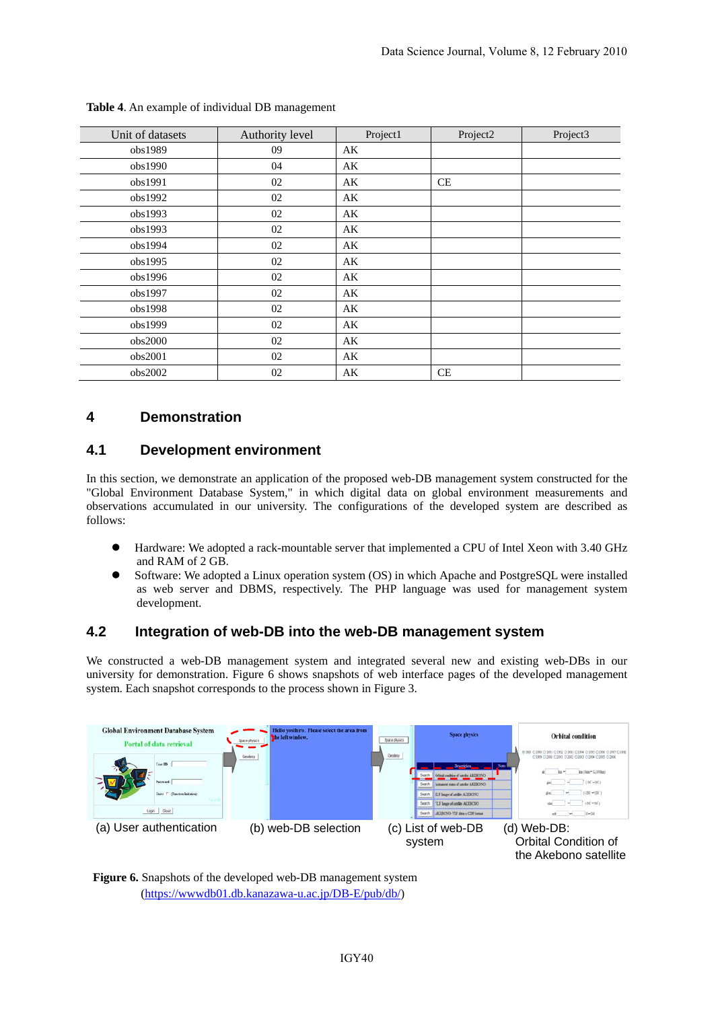| Unit of datasets | Authority level | Project1               | Project2  | Project3 |
|------------------|-----------------|------------------------|-----------|----------|
| obs1989          | 09              | AK                     |           |          |
| obs1990          | 04              | AK                     |           |          |
| obs1991          | 02              | AK                     | <b>CE</b> |          |
| obs1992          | 02              | AK                     |           |          |
| obs1993          | 02              | AK                     |           |          |
| obs1993          | 02              | AK                     |           |          |
| obs1994          | 02              | AK                     |           |          |
| obs1995          | 02              | AK                     |           |          |
| obs1996          | 02              | AK                     |           |          |
| obs1997          | 02              | AK                     |           |          |
| obs1998          | 02              | AK                     |           |          |
| obs1999          | 02              | AK                     |           |          |
| obs2000          | 02              | AK                     |           |          |
| obs2001          | 02              | $\mathbf{A}\mathbf{K}$ |           |          |
| obs2002          | 02              | AK                     | CE        |          |

#### **Table 4**. An example of individual DB management

## **4 Demonstration**

### **4.1 Development environment**

In this section, we demonstrate an application of the proposed web-DB management system constructed for the "Global Environment Database System," in which digital data on global environment measurements and observations accumulated in our university. The configurations of the developed system are described as follows:

- Hardware: We adopted a rack-mountable server that implemented a CPU of Intel Xeon with 3.40 GHz and RAM of 2 GB.
- z Software: We adopted a Linux operation system (OS) in which Apache and PostgreSQL were installed as web server and DBMS, respectively. The PHP language was used for management system development.

### **4.2 Integration of web-DB into the web-DB management system**

We constructed a web-DB management system and integrated several new and existing web-DBs in our university for demonstration. Figure 6 shows snapshots of web interface pages of the developed management system. Each snapshot corresponds to the process shown in Figure 3.



**Figure 6.** Snapshots of the developed web-DB management system (https://wwwdb01.db.kanazawa-u.ac.jp/DB-E/pub/db/)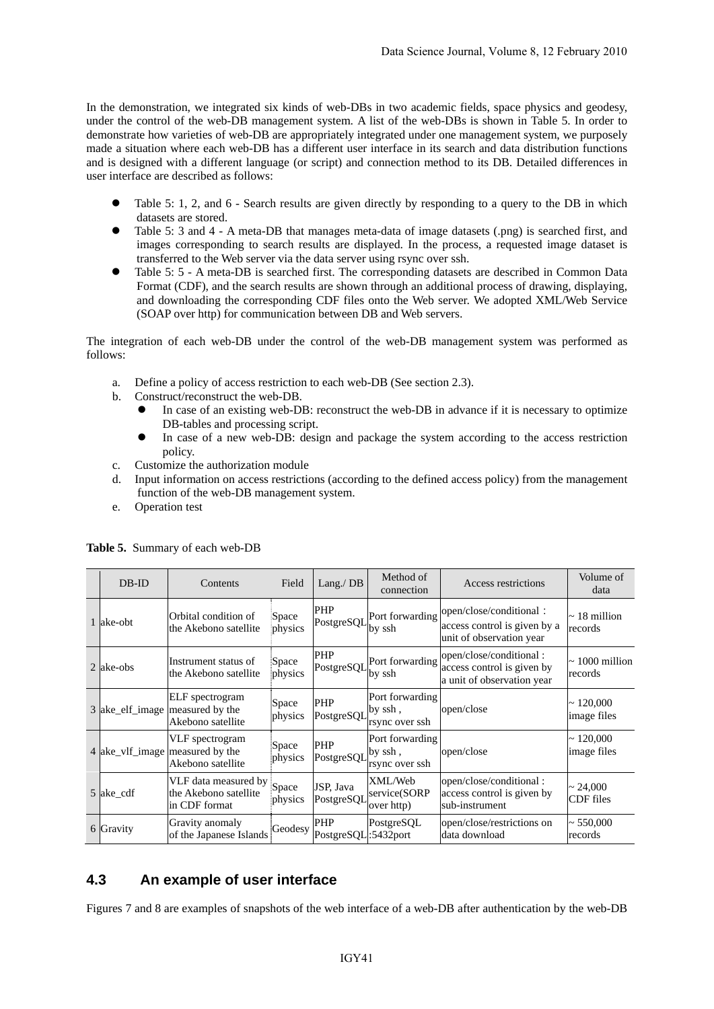In the demonstration, we integrated six kinds of web-DBs in two academic fields, space physics and geodesy, under the control of the web-DB management system. A list of the web-DBs is shown in Table 5. In order to demonstrate how varieties of web-DB are appropriately integrated under one management system, we purposely made a situation where each web-DB has a different user interface in its search and data distribution functions and is designed with a different language (or script) and connection method to its DB. Detailed differences in user interface are described as follows:

- Table 5: 1, 2, and 6 Search results are given directly by responding to a query to the DB in which datasets are stored.
- z Table 5: 3 and 4 A meta-DB that manages meta-data of image datasets (.png) is searched first, and images corresponding to search results are displayed. In the process, a requested image dataset is transferred to the Web server via the data server using rsync over ssh.
- Table 5: 5 A meta-DB is searched first. The corresponding datasets are described in Common Data Format (CDF), and the search results are shown through an additional process of drawing, displaying, and downloading the corresponding CDF files onto the Web server. We adopted XML/Web Service (SOAP over http) for communication between DB and Web servers.

The integration of each web-DB under the control of the web-DB management system was performed as follows:

- a. Define a policy of access restriction to each web-DB (See section 2.3).
- b. Construct/reconstruct the web-DB.
	- In case of an existing web-DB: reconstruct the web-DB in advance if it is necessary to optimize DB-tables and processing script.
	- In case of a new web-DB: design and package the system according to the access restriction policy.
- c. Customize the authorization module
- d. Input information on access restrictions (according to the defined access policy) from the management function of the web-DB management system.
- e. Operation test

| DB-ID     | Contents                                                                         | Field            | Lang./ $DB$                       | Method of<br>connection                      | Access restrictions                                                                 | Volume of<br>data                 |
|-----------|----------------------------------------------------------------------------------|------------------|-----------------------------------|----------------------------------------------|-------------------------------------------------------------------------------------|-----------------------------------|
| 1 ake-obt | Orbital condition of<br>the Akebono satellite                                    | Space<br>physics | <b>PHP</b><br>PostgreSQL          | Port forwarding<br>by ssh                    | open/close/conditional:<br>access control is given by a<br>unit of observation year | $\sim$ 18 million<br>records      |
| 2 ake-obs | Instrument status of<br>the Akebono satellite                                    | Space<br>physics | PHP<br>PostgreSQL                 | Port forwarding<br>by ssh                    | open/close/conditional:<br>access control is given by<br>a unit of observation year | $\sim 1000$ million<br>records    |
|           | <b>ELF</b> spectrogram<br>3 ake_elf_image   measured by the<br>Akebono satellite | Space<br>physics | <b>PHP</b><br>PostgreSQL          | Port forwarding<br>by ssh,<br>rsync over ssh | open/close                                                                          | $\sim 120,000$<br>image files     |
|           | VLF spectrogram<br>4 ake_vlf_image measured by the<br>Akebono satellite          | Space<br>physics | <b>PHP</b><br>PostgreSQL          | Port forwarding<br>by ssh,<br>rsync over ssh | open/close                                                                          | $\sim 120,000$<br>image files     |
| 5 ake_cdf | VLF data measured by<br>the Akebono satellite<br>in CDF format                   | Space<br>physics | JSP, Java<br>PostgreSQL           | XML/Web<br>service(SORP<br>over http)        | open/close/conditional:<br>access control is given by<br>sub-instrument             | $\sim 24,000$<br><b>CDF</b> files |
| 6 Gravity | Gravity anomaly<br>of the Japanese Islands                                       | Geodesy          | <b>PHP</b><br>PostgreSQL:5432port | PostgreSQL                                   | open/close/restrictions on<br>data download                                         | $\sim 550,000$<br>records         |

#### **Table 5.** Summary of each web-DB

## **4.3 An example of user interface**

Figures 7 and 8 are examples of snapshots of the web interface of a web-DB after authentication by the web-DB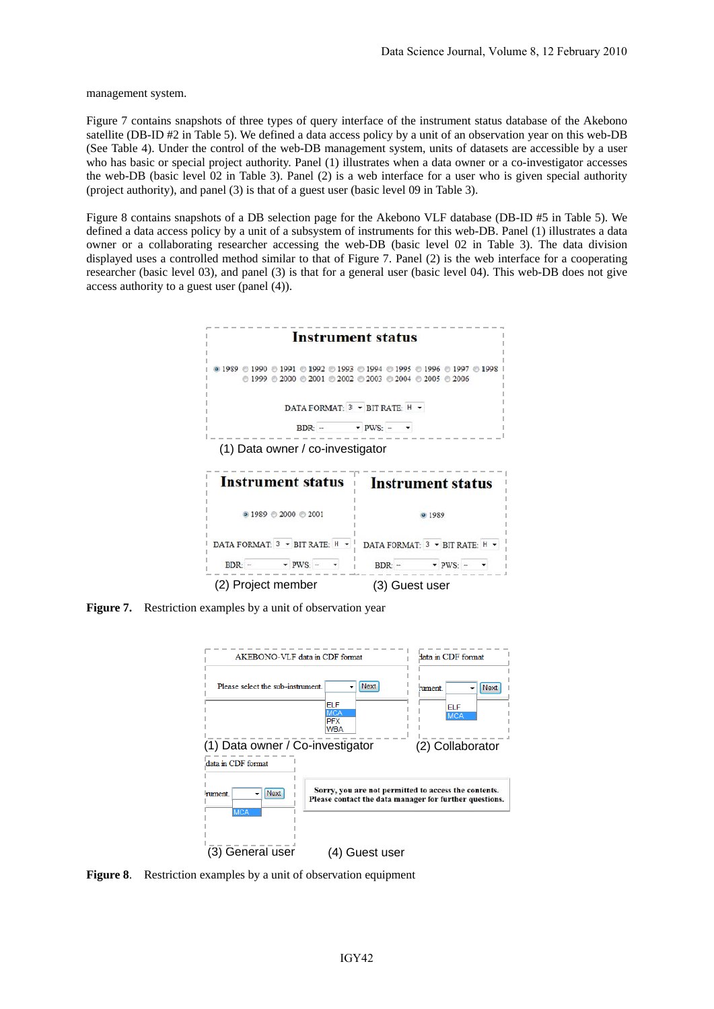management system.

Figure 7 contains snapshots of three types of query interface of the instrument status database of the Akebono satellite (DB-ID #2 in Table 5). We defined a data access policy by a unit of an observation year on this web-DB (See Table 4). Under the control of the web-DB management system, units of datasets are accessible by a user who has basic or special project authority. Panel (1) illustrates when a data owner or a co-investigator accesses the web-DB (basic level 02 in Table 3). Panel (2) is a web interface for a user who is given special authority (project authority), and panel (3) is that of a guest user (basic level 09 in Table 3).

Figure 8 contains snapshots of a DB selection page for the Akebono VLF database (DB-ID #5 in Table 5). We defined a data access policy by a unit of a subsystem of instruments for this web-DB. Panel (1) illustrates a data owner or a collaborating researcher accessing the web-DB (basic level 02 in Table 3). The data division displayed uses a controlled method similar to that of Figure 7. Panel (2) is the web interface for a cooperating researcher (basic level 03), and panel (3) is that for a general user (basic level 04). This web-DB does not give access authority to a guest user (panel (4)).



**Figure 7.** Restriction examples by a unit of observation year



**Figure 8**. Restriction examples by a unit of observation equipment